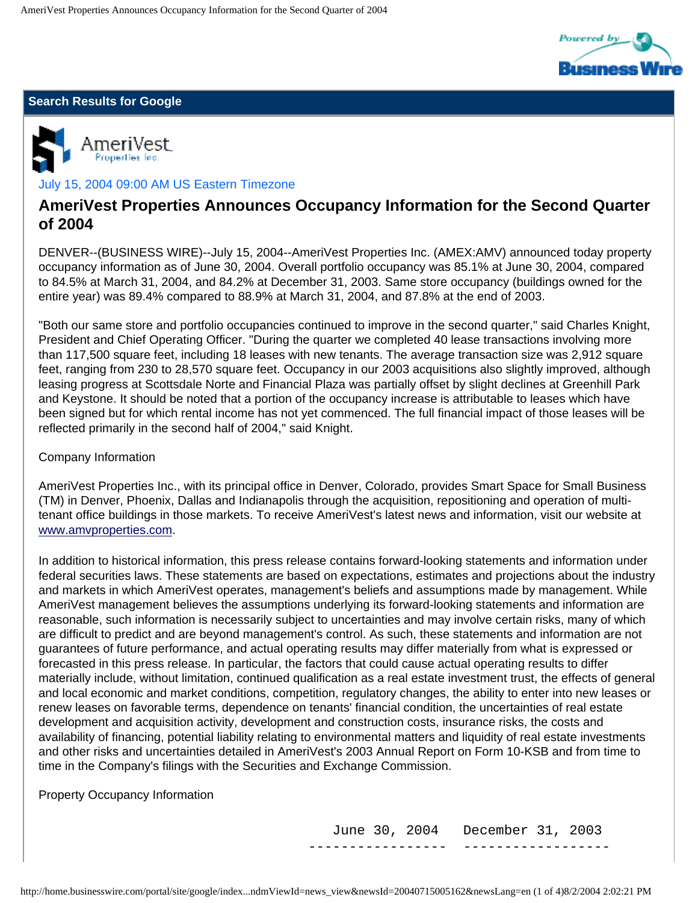

## **Search Results for Google**



## July 15, 2004 09:00 AM US Eastern Timezone

# **AmeriVest Properties Announces Occupancy Information for the Second Quarter of 2004**

DENVER--(BUSINESS WIRE)--July 15, 2004--AmeriVest Properties Inc. (AMEX:AMV) announced today property occupancy information as of June 30, 2004. Overall portfolio occupancy was 85.1% at June 30, 2004, compared to 84.5% at March 31, 2004, and 84.2% at December 31, 2003. Same store occupancy (buildings owned for the entire year) was 89.4% compared to 88.9% at March 31, 2004, and 87.8% at the end of 2003.

"Both our same store and portfolio occupancies continued to improve in the second quarter," said Charles Knight, President and Chief Operating Officer. "During the quarter we completed 40 lease transactions involving more than 117,500 square feet, including 18 leases with new tenants. The average transaction size was 2,912 square feet, ranging from 230 to 28,570 square feet. Occupancy in our 2003 acquisitions also slightly improved, although leasing progress at Scottsdale Norte and Financial Plaza was partially offset by slight declines at Greenhill Park and Keystone. It should be noted that a portion of the occupancy increase is attributable to leases which have been signed but for which rental income has not yet commenced. The full financial impact of those leases will be reflected primarily in the second half of 2004," said Knight.

### Company Information

AmeriVest Properties Inc., with its principal office in Denver, Colorado, provides Smart Space for Small Business (TM) in Denver, Phoenix, Dallas and Indianapolis through the acquisition, repositioning and operation of multitenant office buildings in those markets. To receive AmeriVest's latest news and information, visit our website at [www.amvproperties.com](http://www.amvproperties.com/).

In addition to historical information, this press release contains forward-looking statements and information under federal securities laws. These statements are based on expectations, estimates and projections about the industry and markets in which AmeriVest operates, management's beliefs and assumptions made by management. While AmeriVest management believes the assumptions underlying its forward-looking statements and information are reasonable, such information is necessarily subject to uncertainties and may involve certain risks, many of which are difficult to predict and are beyond management's control. As such, these statements and information are not guarantees of future performance, and actual operating results may differ materially from what is expressed or forecasted in this press release. In particular, the factors that could cause actual operating results to differ materially include, without limitation, continued qualification as a real estate investment trust, the effects of general and local economic and market conditions, competition, regulatory changes, the ability to enter into new leases or renew leases on favorable terms, dependence on tenants' financial condition, the uncertainties of real estate development and acquisition activity, development and construction costs, insurance risks, the costs and availability of financing, potential liability relating to environmental matters and liquidity of real estate investments and other risks and uncertainties detailed in AmeriVest's 2003 Annual Report on Form 10-KSB and from time to time in the Company's filings with the Securities and Exchange Commission.

Property Occupancy Information

 June 30, 2004 December 31, 2003 ----------------- ------------------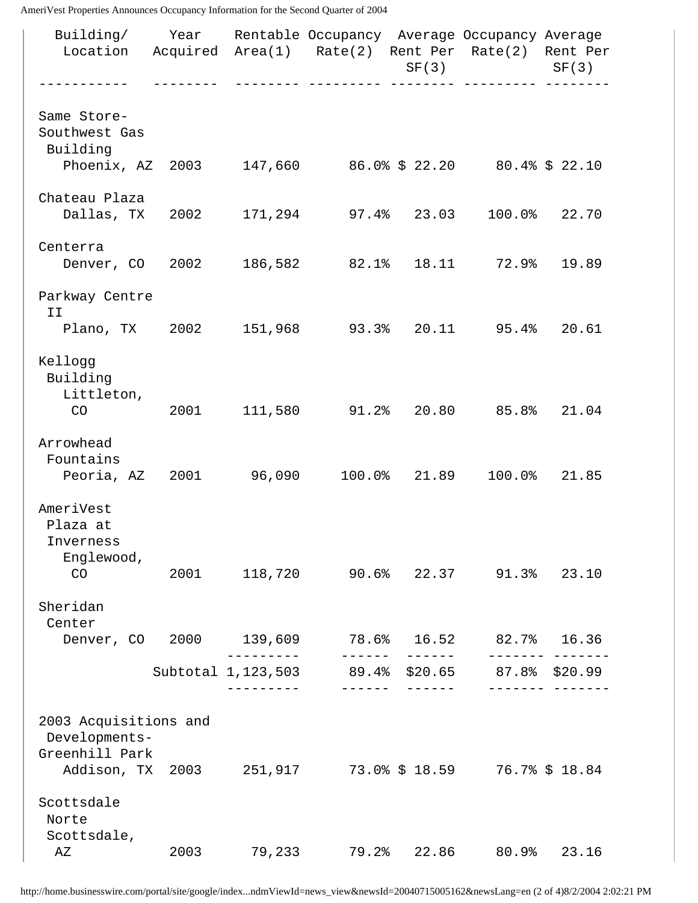AmeriVest Properties Announces Occupancy Information for the Second Quarter of 2004

| Building/ Year Rentable Occupancy Average Occupancy Average<br>Location Acquired Area(1) Rate(2) Rent Per Rate(2) Rent Per |                                                                                                                                                                                                                                 |                        |                                                            |                 | $SF(3)$ $SF(3)$               |       |
|----------------------------------------------------------------------------------------------------------------------------|---------------------------------------------------------------------------------------------------------------------------------------------------------------------------------------------------------------------------------|------------------------|------------------------------------------------------------|-----------------|-------------------------------|-------|
| Same Store-<br>Southwest Gas<br>Building                                                                                   |                                                                                                                                                                                                                                 |                        |                                                            |                 |                               |       |
| Phoenix, AZ 2003 147,660 86.0% \$ 22.20 80.4% \$ 22.10                                                                     |                                                                                                                                                                                                                                 |                        |                                                            |                 |                               |       |
| Chateau Plaza<br>Dallas, TX 2002 171, 294 97.4% 23.03 100.0% 22.70                                                         |                                                                                                                                                                                                                                 |                        |                                                            |                 |                               |       |
| Centerra<br>Denver, CO 2002 186,582 82.1% 18.11 72.9%                                                                      |                                                                                                                                                                                                                                 |                        |                                                            |                 |                               | 19.89 |
| Parkway Centre<br>II                                                                                                       |                                                                                                                                                                                                                                 |                        |                                                            |                 |                               |       |
| Plano, TX 2002 151, 968 93.3% 20.11 95.4% 20.61                                                                            |                                                                                                                                                                                                                                 |                        |                                                            |                 |                               |       |
| Kellogg<br>Building<br>Littleton,<br>CO                                                                                    |                                                                                                                                                                                                                                 |                        | 2001 111,580 91.2% 20.80 85.8% 21.04                       |                 |                               |       |
| Arrowhead<br>Fountains<br>Peoria, AZ 2001 96,090 100.0% 21.89 100.0% 21.85                                                 |                                                                                                                                                                                                                                 |                        |                                                            |                 |                               |       |
| AmeriVest<br>Plaza at<br>Inverness<br>Englewood,                                                                           |                                                                                                                                                                                                                                 |                        |                                                            |                 |                               |       |
| CO                                                                                                                         | 2001 - 2001 - 2002 - 2003 - 2004 - 2004 - 2005 - 2005 - 2006 - 2014 - 2015 - 2016 - 2016 - 2016 - 2016 - 2016 - 2016 - 2016 - 2016 - 2017 - 2017 - 2017 - 2017 - 2017 - 2017 - 2017 - 2017 - 2017 - 2017 - 2017 - 2017 - 2017 - |                        | 118,720 90.6% 22.37 91.3% 23.10                            |                 |                               |       |
| Sheridan<br>Center<br>Denver, CO 2000 139,609                                                                              |                                                                                                                                                                                                                                 |                        | $78.6$ $8$ $16.52$                                         |                 | 82.7%                         | 16.36 |
|                                                                                                                            |                                                                                                                                                                                                                                 | --------<br>---------- | ------<br>Subtotal 1, 123, 503 89.4% \$20.65 87.8% \$20.99 | $- - - - - - -$ | . <u>.</u> .<br>$\frac{1}{2}$ |       |
| 2003 Acquisitions and<br>Developments-                                                                                     |                                                                                                                                                                                                                                 |                        |                                                            |                 |                               |       |
| Greenhill Park<br>Addison, TX 2003 251, 917 73.0% \$ 18.59 76.7% \$ 18.84                                                  |                                                                                                                                                                                                                                 |                        |                                                            |                 |                               |       |
| Scottsdale<br>Norte                                                                                                        |                                                                                                                                                                                                                                 |                        |                                                            |                 |                               |       |
| Scottsdale,<br>ΑZ                                                                                                          | 2003                                                                                                                                                                                                                            | 79,233                 | 79.2%                                                      | 22.86           | 80.9%                         | 23.16 |

http://home.businesswire.com/portal/site/google/index...ndmViewId=news\_view&newsId=20040715005162&newsLang=en (2 of 4)8/2/2004 2:02:21 PM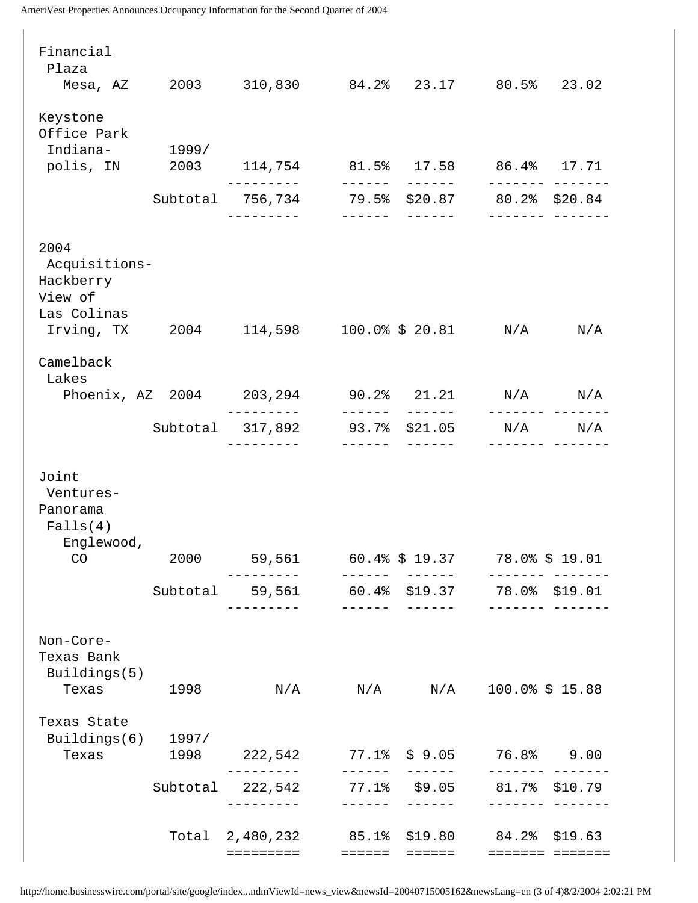AmeriVest Properties Announces Occupancy Information for the Second Quarter of 2004

| Financial<br>Plaza                                                                          |          |                                                          |                 |                                  |                      |                             |
|---------------------------------------------------------------------------------------------|----------|----------------------------------------------------------|-----------------|----------------------------------|----------------------|-----------------------------|
| Mesa, AZ 2003 310,830                                                                       |          |                                                          |                 | 84.2% 23.17 80.5% 23.02          |                      |                             |
| Keystone<br>Office Park<br>Indiana-<br>polis, IN  2003  114,754  81.5%  17.58  86.4%  17.71 | 1999/    |                                                          |                 |                                  |                      |                             |
|                                                                                             |          |                                                          | -------         | $- - - - - - -$                  |                      |                             |
|                                                                                             |          | Subtotal 756,734 79.5% \$20.87 80.2% \$20.84             |                 |                                  |                      |                             |
|                                                                                             |          | --------                                                 |                 |                                  |                      |                             |
| 2004<br>Acquisitions-<br>Hackberry<br>View of<br>Las Colinas<br>Irving, TX                  |          | 2004 114,598 100.0% \$20.81 N/A                          |                 |                                  |                      | N/A                         |
|                                                                                             |          |                                                          |                 |                                  |                      |                             |
| Camelback<br>Lakes                                                                          |          | Phoenix, AZ 2004 203, 294 90.2% 21.21 N/A                |                 |                                  |                      | $\mathrm{N}/\mathrm{A}$     |
|                                                                                             |          |                                                          | $- - - - - - -$ | $- - - - - -$                    | -------              |                             |
|                                                                                             | Subtotal | 317,892 93.7% \$21.05                                    |                 |                                  | N/A                  | N/A                         |
| Joint<br>Ventures-<br>Panorama<br>Falls(4)<br>Englewood,<br>CO                              | 2000     | 59,561                                                   |                 | 60.4% \$19.37 78.0% \$19.01      |                      |                             |
|                                                                                             |          | Subtotal 59,561                                          |                 | 60.4% \$19.37 78.0% \$19.01      |                      |                             |
| Non-Core-<br>Texas Bank<br>Buildings(5)<br>Texas                                            | 1998     | ---------<br>$\mathrm{N}/\mathrm{A}$                     |                 | _______    ______<br>$N/A$ $N/A$ | <u>-------- ----</u> | $100.0$ $\frac{2}{5}$ 15.88 |
| Texas State                                                                                 |          |                                                          |                 |                                  |                      |                             |
| Buildings $(6)$ 1997/<br>Texas                                                              | 1998     | 222,542 77.1% \$9.05 76.8% 9.00<br>----------            |                 |                                  | -------- ---         |                             |
|                                                                                             | Subtotal | 222,542                                                  | $- - - - - - -$ | 77.1% \$9.05                     | --------             | 81.7% \$10.79               |
|                                                                                             |          | Total 2,480,232 85.1% \$19.80 84.2% \$19.63<br>========= | ======          | ======                           |                      | ======= =======             |

http://home.businesswire.com/portal/site/google/index...ndmViewId=news\_view&newsId=20040715005162&newsLang=en (3 of 4)8/2/2004 2:02:21 PM